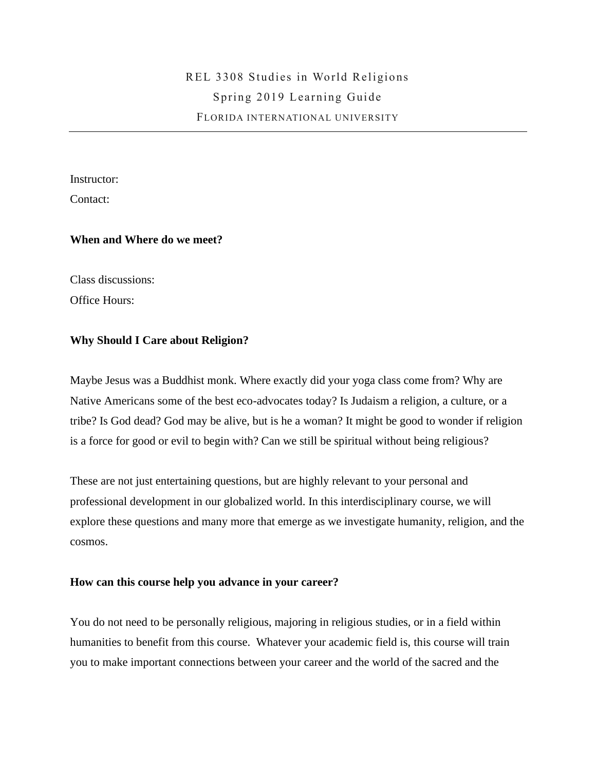Instructor:

Contact:

## **When and Where do we meet?**

Class discussions:

Office Hours:

## **Why Should I Care about Religion?**

Maybe Jesus was a Buddhist monk. Where exactly did your yoga class come from? Why are Native Americans some of the best eco-advocates today? Is Judaism a religion, a culture, or a tribe? Is God dead? God may be alive, but is he a woman? It might be good to wonder if religion is a force for good or evil to begin with? Can we still be spiritual without being religious?

These are not just entertaining questions, but are highly relevant to your personal and professional development in our globalized world. In this interdisciplinary course, we will explore these questions and many more that emerge as we investigate humanity, religion, and the cosmos.

### **How can this course help you advance in your career?**

You do not need to be personally religious, majoring in religious studies, or in a field within humanities to benefit from this course. Whatever your academic field is, this course will train you to make important connections between your career and the world of the sacred and the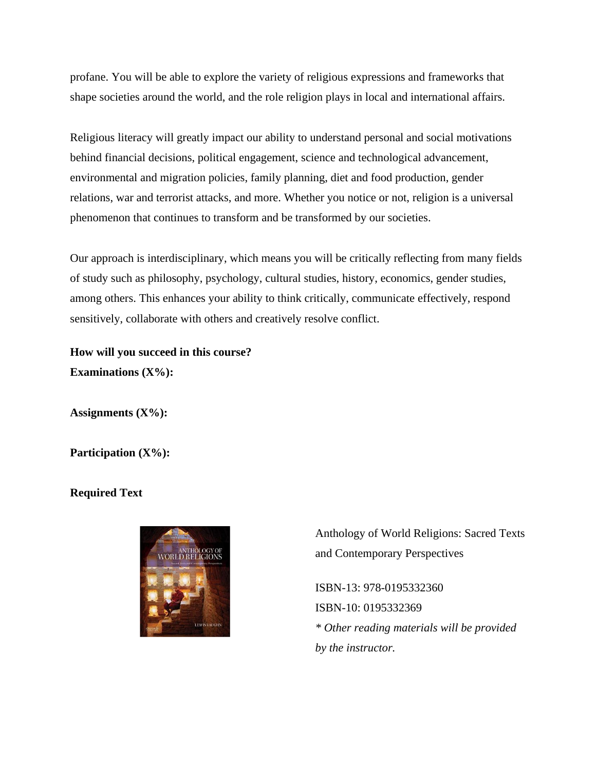profane. You will be able to explore the variety of religious expressions and frameworks that shape societies around the world, and the role religion plays in local and international affairs.

Religious literacy will greatly impact our ability to understand personal and social motivations behind financial decisions, political engagement, science and technological advancement, environmental and migration policies, family planning, diet and food production, gender relations, war and terrorist attacks, and more. Whether you notice or not, religion is a universal phenomenon that continues to transform and be transformed by our societies.

Our approach is interdisciplinary, which means you will be critically reflecting from many fields of study such as philosophy, psychology, cultural studies, history, economics, gender studies, among others. This enhances your ability to think critically, communicate effectively, respond sensitively, collaborate with others and creatively resolve conflict.

**How will you succeed in this course? Examinations (X%):** 

**Assignments (X%):** 

Participation (X%):

### **Required Text**



Anthology of World Religions: Sacred Texts and Contemporary Perspectives

ISBN-13: 978-0195332360 ISBN-10: 0195332369 *\* Other reading materials will be provided by the instructor.*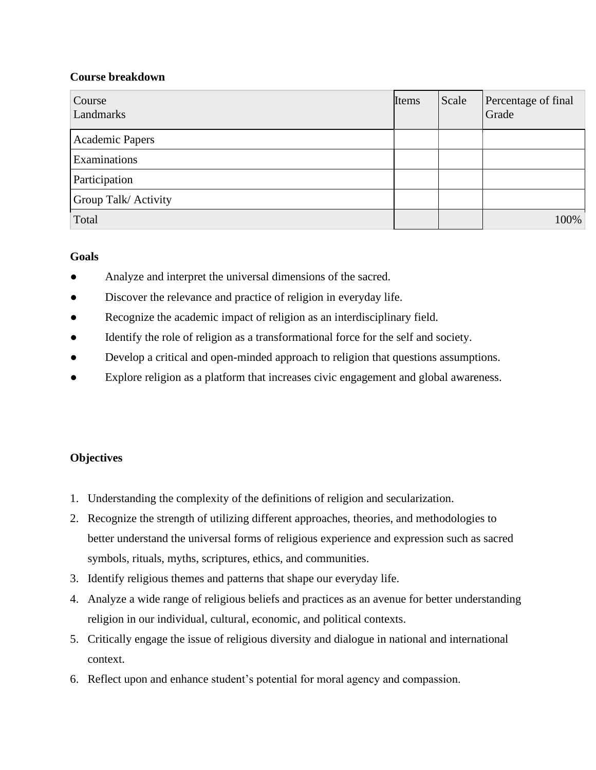# **Course breakdown**

| Course<br>Landmarks    | Items | Scale | Percentage of final<br>Grade |
|------------------------|-------|-------|------------------------------|
| <b>Academic Papers</b> |       |       |                              |
| Examinations           |       |       |                              |
| Participation          |       |       |                              |
| Group Talk/ Activity   |       |       |                              |
| Total                  |       |       | 100%                         |

# **Goals**

- Analyze and interpret the universal dimensions of the sacred.
- Discover the relevance and practice of religion in everyday life.
- Recognize the academic impact of religion as an interdisciplinary field.
- Identify the role of religion as a transformational force for the self and society.
- Develop a critical and open-minded approach to religion that questions assumptions.
- Explore religion as a platform that increases civic engagement and global awareness.

# **Objectives**

- 1. Understanding the complexity of the definitions of religion and secularization.
- 2. Recognize the strength of utilizing different approaches, theories, and methodologies to better understand the universal forms of religious experience and expression such as sacred symbols, rituals, myths, scriptures, ethics, and communities.
- 3. Identify religious themes and patterns that shape our everyday life.
- 4. Analyze a wide range of religious beliefs and practices as an avenue for better understanding religion in our individual, cultural, economic, and political contexts.
- 5. Critically engage the issue of religious diversity and dialogue in national and international context.
- 6. Reflect upon and enhance student's potential for moral agency and compassion.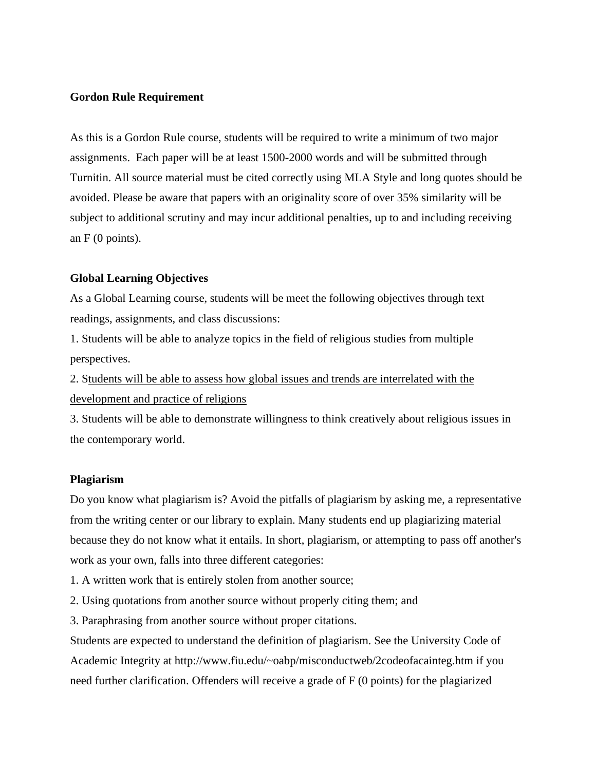#### **Gordon Rule Requirement**

As this is a Gordon Rule course, students will be required to write a minimum of two major assignments. Each paper will be at least 1500-2000 words and will be submitted through Turnitin. All source material must be cited correctly using MLA Style and long quotes should be avoided. Please be aware that papers with an originality score of over 35% similarity will be subject to additional scrutiny and may incur additional penalties, up to and including receiving an  $F(0 \text{ points})$ .

#### **Global Learning Objectives**

As a Global Learning course, students will be meet the following objectives through text readings, assignments, and class discussions:

1. Students will be able to analyze topics in the field of religious studies from multiple perspectives.

2. Students will be able to assess how global issues and trends are interrelated with the development and practice of religions

3. Students will be able to demonstrate willingness to think creatively about religious issues in the contemporary world.

#### **Plagiarism**

Do you know what plagiarism is? Avoid the pitfalls of plagiarism by asking me, a representative from the writing center or our library to explain. Many students end up plagiarizing material because they do not know what it entails. In short, plagiarism, or attempting to pass off another's work as your own, falls into three different categories:

1. A written work that is entirely stolen from another source;

- 2. Using quotations from another source without properly citing them; and
- 3. Paraphrasing from another source without proper citations.

Students are expected to understand the definition of plagiarism. See the University Code of Academic Integrity at http://www.fiu.edu/~oabp/misconductweb/2codeofacainteg.htm if you need further clarification. Offenders will receive a grade of F (0 points) for the plagiarized